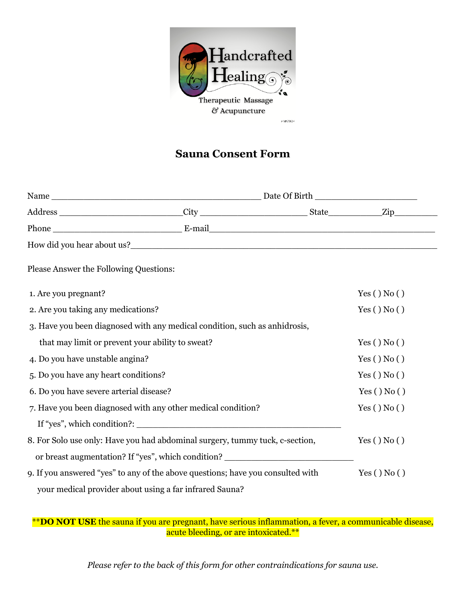

## **Sauna Consent Form**

| How did you hear about us?                                                       |  |  |            |
|----------------------------------------------------------------------------------|--|--|------------|
| Please Answer the Following Questions:                                           |  |  |            |
| 1. Are you pregnant?                                                             |  |  | Yes() No() |
| 2. Are you taking any medications?                                               |  |  | Yes() No() |
| 3. Have you been diagnosed with any medical condition, such as anhidrosis,       |  |  |            |
| that may limit or prevent your ability to sweat?                                 |  |  | Yes() No() |
| 4. Do you have unstable angina?                                                  |  |  | Yes() No() |
| 5. Do you have any heart conditions?                                             |  |  | Yes() No() |
| 6. Do you have severe arterial disease?                                          |  |  | Yes() No() |
| 7. Have you been diagnosed with any other medical condition?                     |  |  | Yes() No() |
|                                                                                  |  |  |            |
| 8. For Solo use only: Have you had abdominal surgery, tummy tuck, c-section,     |  |  | Yes() No() |
| or breast augmentation? If "yes", which condition? _____________________________ |  |  |            |
| 9. If you answered "yes" to any of the above questions; have you consulted with  |  |  | Yes() No() |
| your medical provider about using a far infrared Sauna?                          |  |  |            |

\*\***DO NOT USE** the sauna if you are pregnant, have serious inflammation, a fever, a communicable disease, acute bleeding, or are intoxicated.\*\*

*Please refer to the back of this form for other contraindications for sauna use.*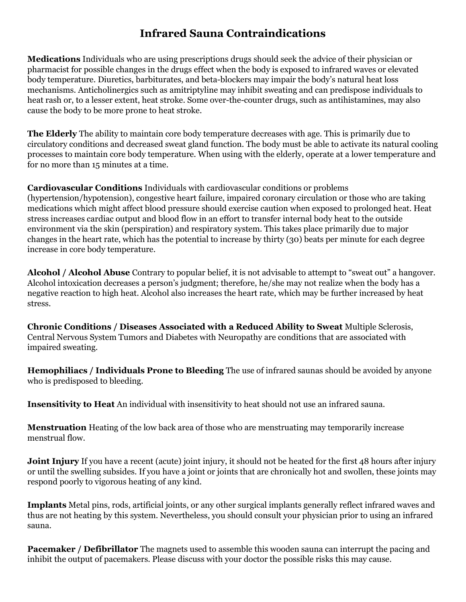## **Infrared Sauna Contraindications**

**Medications** Individuals who are using prescriptions drugs should seek the advice of their physician or pharmacist for possible changes in the drugs effect when the body is exposed to infrared waves or elevated body temperature. Diuretics, barbiturates, and beta-blockers may impair the body's natural heat loss mechanisms. Anticholinergics such as amitriptyline may inhibit sweating and can predispose individuals to heat rash or, to a lesser extent, heat stroke. Some over-the-counter drugs, such as antihistamines, may also cause the body to be more prone to heat stroke.

**The Elderly** The ability to maintain core body temperature decreases with age. This is primarily due to circulatory conditions and decreased sweat gland function. The body must be able to activate its natural cooling processes to maintain core body temperature. When using with the elderly, operate at a lower temperature and for no more than 15 minutes at a time.

**Cardiovascular Conditions** Individuals with cardiovascular conditions or problems (hypertension/hypotension), congestive heart failure, impaired coronary circulation or those who are taking medications which might affect blood pressure should exercise caution when exposed to prolonged heat. Heat stress increases cardiac output and blood flow in an effort to transfer internal body heat to the outside environment via the skin (perspiration) and respiratory system. This takes place primarily due to major changes in the heart rate, which has the potential to increase by thirty (30) beats per minute for each degree increase in core body temperature.

**Alcohol / Alcohol Abuse** Contrary to popular belief, it is not advisable to attempt to "sweat out" a hangover. Alcohol intoxication decreases a person's judgment; therefore, he/she may not realize when the body has a negative reaction to high heat. Alcohol also increases the heart rate, which may be further increased by heat stress.

**Chronic Conditions / Diseases Associated with a Reduced Ability to Sweat** Multiple Sclerosis, Central Nervous System Tumors and Diabetes with Neuropathy are conditions that are associated with impaired sweating.

**Hemophiliacs / Individuals Prone to Bleeding** The use of infrared saunas should be avoided by anyone who is predisposed to bleeding.

**Insensitivity to Heat** An individual with insensitivity to heat should not use an infrared sauna.

**Menstruation** Heating of the low back area of those who are menstruating may temporarily increase menstrual flow.

**Joint Injury** If you have a recent (acute) joint injury, it should not be heated for the first 48 hours after injury or until the swelling subsides. If you have a joint or joints that are chronically hot and swollen, these joints may respond poorly to vigorous heating of any kind.

**Implants** Metal pins, rods, artificial joints, or any other surgical implants generally reflect infrared waves and thus are not heating by this system. Nevertheless, you should consult your physician prior to using an infrared sauna.

**Pacemaker / Defibrillator** The magnets used to assemble this wooden sauna can interrupt the pacing and inhibit the output of pacemakers. Please discuss with your doctor the possible risks this may cause.